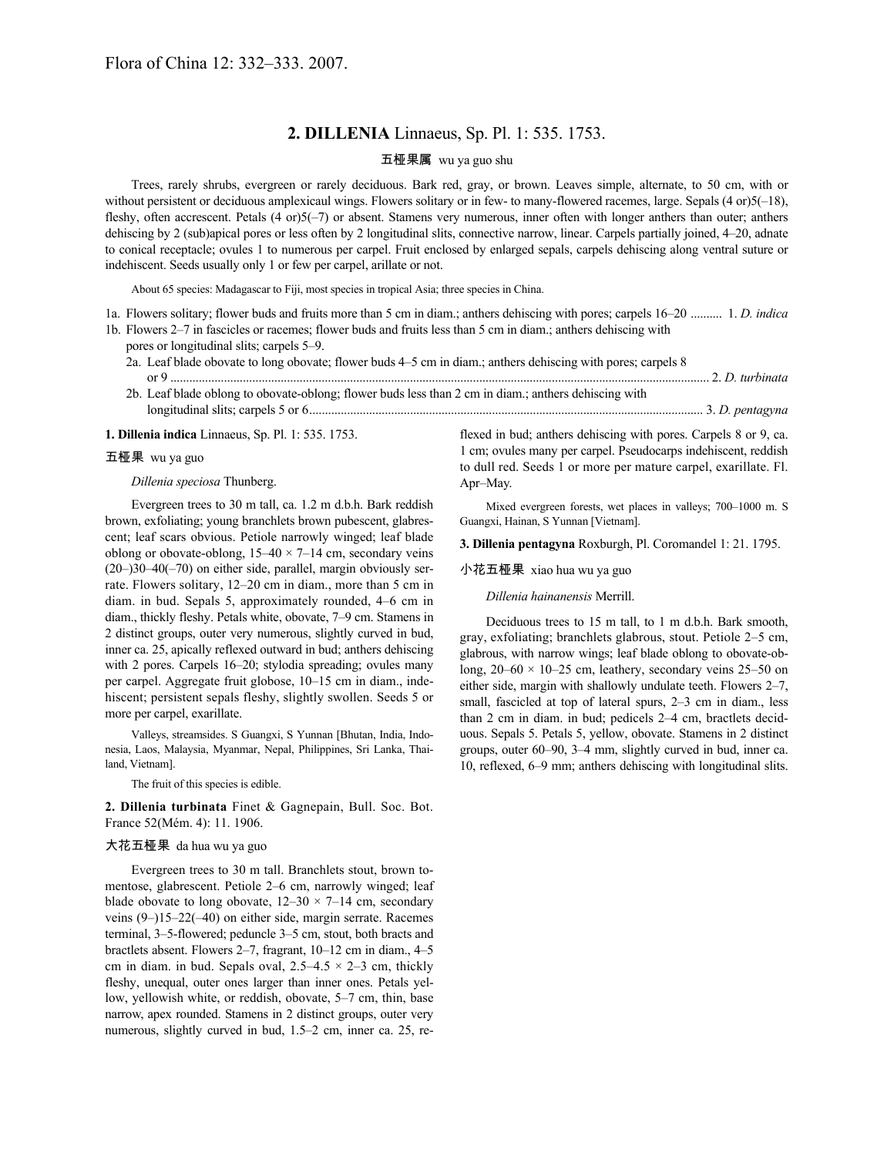## **2. DILLENIA** Linnaeus, Sp. Pl. 1: 535. 1753.

## 五桠果属 wu ya guo shu

Trees, rarely shrubs, evergreen or rarely deciduous. Bark red, gray, or brown. Leaves simple, alternate, to 50 cm, with or without persistent or deciduous amplexicaul wings. Flowers solitary or in few- to many-flowered racemes, large. Sepals (4 or)5(-18), fleshy, often accrescent. Petals (4 or)5(-7) or absent. Stamens very numerous, inner often with longer anthers than outer; anthers dehiscing by 2 (sub)apical pores or less often by 2 longitudinal slits, connective narrow, linear. Carpels partially joined, 4–20, adnate to conical receptacle; ovules 1 to numerous per carpel. Fruit enclosed by enlarged sepals, carpels dehiscing along ventral suture or indehiscent. Seeds usually only 1 or few per carpel, arillate or not.

About 65 species: Madagascar to Fiji, most species in tropical Asia; three species in China.

- 1a. Flowers solitary; flower buds and fruits more than 5 cm in diam.; anthers dehiscing with pores; carpels 16–20 .......... 1. *D. indica*
- 1b. Flowers 2–7 in fascicles or racemes; flower buds and fruits less than 5 cm in diam.; anthers dehiscing with
	- pores or longitudinal slits; carpels 5–9.
	- 2a. Leaf blade obovate to long obovate; flower buds 4–5 cm in diam.; anthers dehiscing with pores; carpels 8 or 9 ........................................................................................................................................................................... 2. *D. turbinata* 2b. Leaf blade oblong to obovate-oblong; flower buds less than 2 cm in diam.; anthers dehiscing with
	- longitudinal slits; carpels 5 or 6............................................................................................................................. 3. *D. pentagyna*

#### **1. Dillenia indica** Linnaeus, Sp. Pl. 1: 535. 1753.

#### 五桠果 wu ya guo

### *Dillenia speciosa* Thunberg.

Evergreen trees to 30 m tall, ca. 1.2 m d.b.h. Bark reddish brown, exfoliating; young branchlets brown pubescent, glabrescent; leaf scars obvious. Petiole narrowly winged; leaf blade oblong or obovate-oblong,  $15-40 \times 7-14$  cm, secondary veins (20–)30–40(–70) on either side, parallel, margin obviously serrate. Flowers solitary, 12–20 cm in diam., more than 5 cm in diam. in bud. Sepals 5, approximately rounded, 4–6 cm in diam., thickly fleshy. Petals white, obovate, 7–9 cm. Stamens in 2 distinct groups, outer very numerous, slightly curved in bud, inner ca. 25, apically reflexed outward in bud; anthers dehiscing with 2 pores. Carpels 16–20; stylodia spreading; ovules many per carpel. Aggregate fruit globose, 10–15 cm in diam., indehiscent; persistent sepals fleshy, slightly swollen. Seeds 5 or more per carpel, exarillate.

Valleys, streamsides. S Guangxi, S Yunnan [Bhutan, India, Indonesia, Laos, Malaysia, Myanmar, Nepal, Philippines, Sri Lanka, Thailand, Vietnam].

The fruit of this species is edible.

**2. Dillenia turbinata** Finet & Gagnepain, Bull. Soc. Bot. France 52(Mém. 4): 11. 1906.

#### 大花五桠果 da hua wu ya guo

Evergreen trees to 30 m tall. Branchlets stout, brown tomentose, glabrescent. Petiole 2–6 cm, narrowly winged; leaf blade obovate to long obovate,  $12-30 \times 7-14$  cm, secondary veins (9–)15–22(–40) on either side, margin serrate. Racemes terminal, 3–5-flowered; peduncle 3–5 cm, stout, both bracts and bractlets absent. Flowers 2–7, fragrant, 10–12 cm in diam., 4–5 cm in diam. in bud. Sepals oval,  $2.5-4.5 \times 2-3$  cm, thickly fleshy, unequal, outer ones larger than inner ones. Petals yellow, yellowish white, or reddish, obovate, 5–7 cm, thin, base narrow, apex rounded. Stamens in 2 distinct groups, outer very numerous, slightly curved in bud, 1.5–2 cm, inner ca. 25, reflexed in bud; anthers dehiscing with pores. Carpels 8 or 9, ca. 1 cm; ovules many per carpel. Pseudocarps indehiscent, reddish to dull red. Seeds 1 or more per mature carpel, exarillate. Fl. Apr–May.

Mixed evergreen forests, wet places in valleys; 700–1000 m. S Guangxi, Hainan, S Yunnan [Vietnam].

**3. Dillenia pentagyna** Roxburgh, Pl. Coromandel 1: 21. 1795.

#### 小花五桠果 xiao hua wu ya guo

*Dillenia hainanensis* Merrill.

Deciduous trees to 15 m tall, to 1 m d.b.h. Bark smooth, gray, exfoliating; branchlets glabrous, stout. Petiole 2–5 cm, glabrous, with narrow wings; leaf blade oblong to obovate-oblong,  $20-60 \times 10-25$  cm, leathery, secondary veins 25–50 on either side, margin with shallowly undulate teeth. Flowers 2–7, small, fascicled at top of lateral spurs, 2–3 cm in diam., less than 2 cm in diam. in bud; pedicels 2–4 cm, bractlets deciduous. Sepals 5. Petals 5, yellow, obovate. Stamens in 2 distinct groups, outer 60–90, 3–4 mm, slightly curved in bud, inner ca. 10, reflexed, 6–9 mm; anthers dehiscing with longitudinal slits.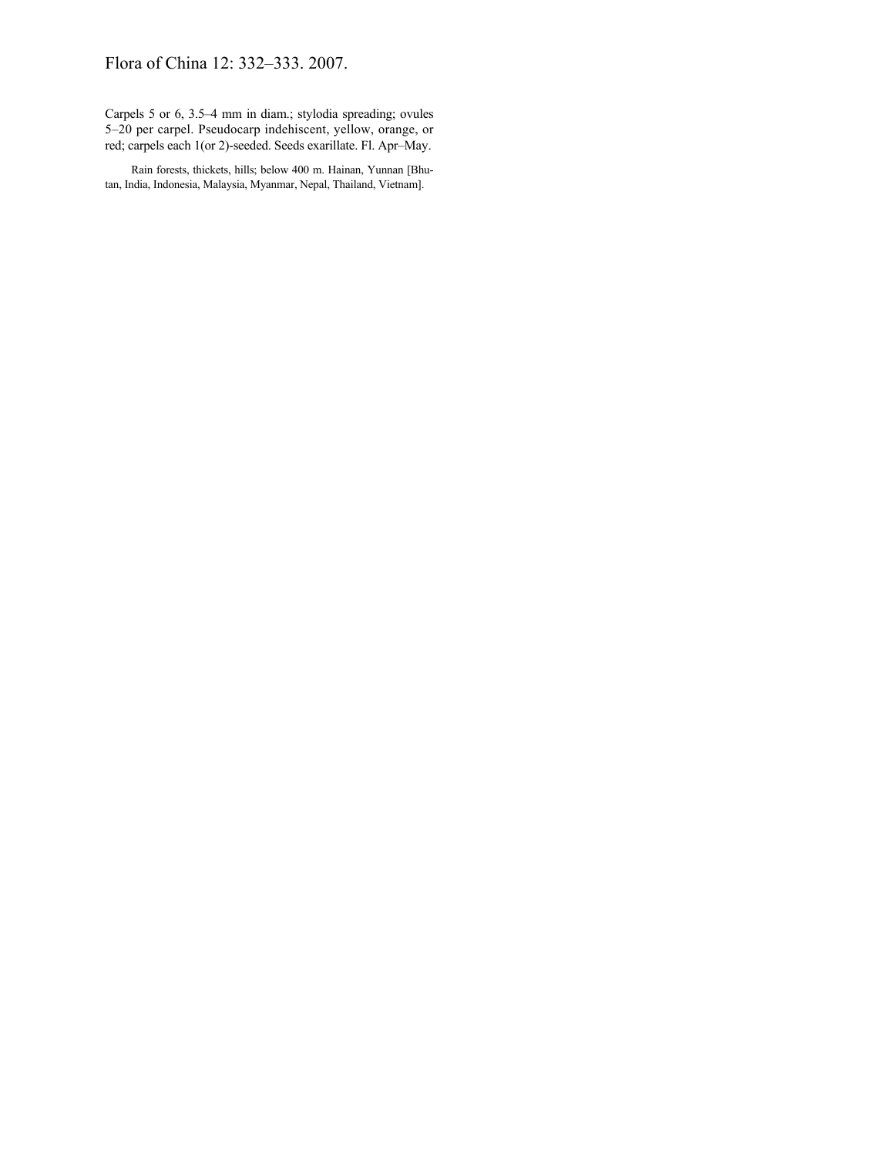# Flora of China 12: 332–333. 2007.

Carpels 5 or 6, 3.5–4 mm in diam.; stylodia spreading; ovules 5–20 per carpel. Pseudocarp indehiscent, yellow, orange, or red; carpels each 1(or 2)-seeded. Seeds exarillate. Fl. Apr–May.

Rain forests, thickets, hills; below 400 m. Hainan, Yunnan [Bhutan, India, Indonesia, Malaysia, Myanmar, Nepal, Thailand, Vietnam].